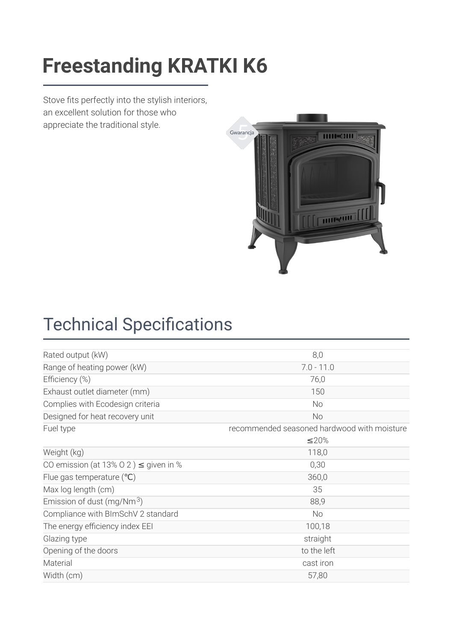### [Freestanding](https://kratki.com/sklep/en/produkt/1353/freestanding-stove-k6-o-150) KDATKI K6 **Freestanding KRATKI K6**

Stove fits perfectly into the stylish interiors, an excellent solution for those who appreciate the traditional style.



# **Technical Specifications**

| Rated output (kW)                          | 8,0                                         |  |
|--------------------------------------------|---------------------------------------------|--|
| Range of heating power (kW)                | $7.0 - 11.0$                                |  |
| Efficiency (%)                             | 76,0                                        |  |
| Exhaust outlet diameter (mm)               | 150                                         |  |
| Complies with Ecodesign criteria           | <b>No</b>                                   |  |
| Designed for heat recovery unit            | No                                          |  |
| Fuel type                                  | recommended seasoned hardwood with moisture |  |
|                                            | ≤20%                                        |  |
| Weight (kg)                                | 118,0                                       |  |
| CO emission (at 13% 0 2) $\leq$ given in % | 0,30                                        |  |
| Flue gas temperature $(°C)$                | 360,0                                       |  |
| Max log length (cm)                        | 35                                          |  |
| Emission of dust (mg/Nm $3$ )              | 88,9                                        |  |
| Compliance with BImSchV 2 standard         | <b>No</b>                                   |  |
| The energy efficiency index EEI            | 100,18                                      |  |
| Glazing type                               | straight                                    |  |
| Opening of the doors                       | to the left                                 |  |
| Material                                   | cast iron                                   |  |
| Width (cm)                                 | 57,80                                       |  |
|                                            |                                             |  |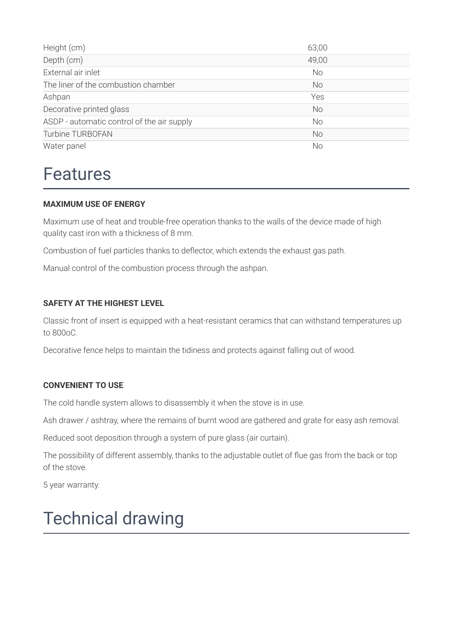| Height (cm)                                | 63,00     |
|--------------------------------------------|-----------|
| Depth (cm)                                 | 49,00     |
| External air inlet                         | <b>No</b> |
| The liner of the combustion chamber        | <b>No</b> |
| Ashpan                                     | Yes       |
| Decorative printed glass                   | <b>No</b> |
| ASDP - automatic control of the air supply | <b>No</b> |
| Turbine TURBOFAN                           | <b>No</b> |
| Water panel                                | No        |

### Features

#### **MAXIMUM USE OF ENERGY**

Maximum use of heat and trouble-free operation thanks to the walls of the device made of high quality cast iron with a thickness of 8 mm.

Combustion of fuel particles thanks to deflector, which extends the exhaust gas path.

Manual control of the combustion process through the ashpan.

#### **SAFETY AT THE HIGHEST LEVEL**

Classic front of insert is equipped with a heat-resistant ceramics that can withstand temperatures up to 800oC.

Decorative fence helps to maintain the tidiness and protects against falling out of wood.

#### **CONVENIENT TO USE**

The cold handle system allows to disassembly it when the stove is in use.

Ash drawer / ashtray, where the remains of burnt wood are gathered and grate for easy ash removal.

Reduced soot deposition through a system of pure glass (air curtain).

The possibility of different assembly, thanks to the adjustable outlet of flue gas from the back or top of the stove.

5 year warranty.

## Technical drawing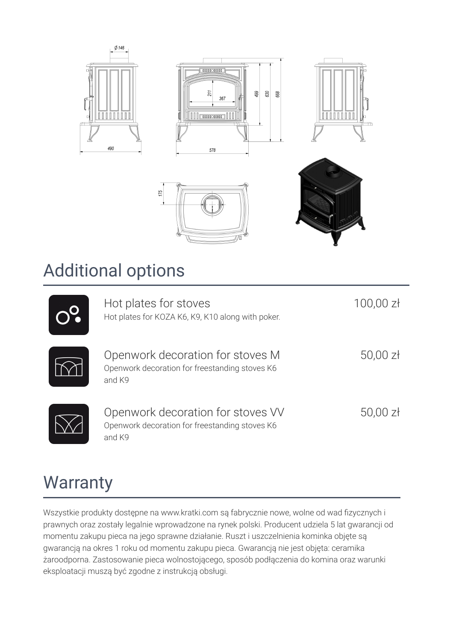

### Additional options

| Hot plates for stoves<br>Hot plates for KOZA K6, K9, K10 along with poker.                    | $100,00$ zł |
|-----------------------------------------------------------------------------------------------|-------------|
| Openwork decoration for stoves M<br>Openwork decoration for freestanding stoves K6<br>and K9  | $50,00$ zł  |
| Openwork decoration for stoves VV<br>Openwork decoration for freestanding stoves K6<br>and K9 | $50,00$ zł  |

## **Warranty**

Wszystkie produkty dostępne na www.kratki.com są fabrycznie nowe, wolne od wad fizycznych i prawnych oraz zostały legalnie wprowadzone na rynek polski. Producent udziela 5 lat gwarancji od momentu zakupu pieca na jego sprawne działanie. Ruszt i uszczelnienia kominka objęte są gwarancją na okres 1 roku od momentu zakupu pieca. Gwarancją nie jest objęta: ceramika żaroodporna. Zastosowanie pieca wolnostojącego, sposób podłączenia do komina oraz warunki eksploatacji muszą być zgodne z instrukcją obsługi.